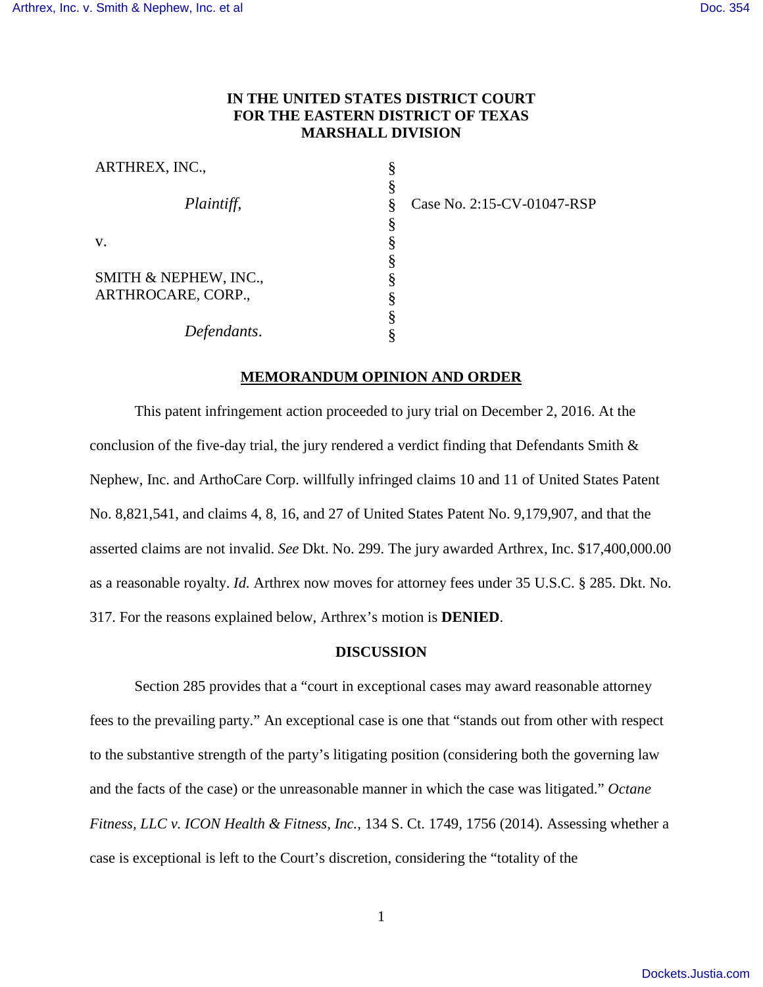## **IN THE UNITED STATES DISTRICT COURT FOR THE EASTERN DISTRICT OF TEXAS MARSHALL DIVISION**

| ARTHREX, INC.,        |  |
|-----------------------|--|
|                       |  |
| Plaintiff,            |  |
|                       |  |
| $V_{\cdot}$           |  |
|                       |  |
| SMITH & NEPHEW, INC., |  |
| ARTHROCARE, CORP.,    |  |
|                       |  |
| Defendants.           |  |

Case No. 2:15-CV-01047-RSP

## **MEMORANDUM OPINION AND ORDER**

This patent infringement action proceeded to jury trial on December 2, 2016. At the conclusion of the five-day trial, the jury rendered a verdict finding that Defendants Smith & Nephew, Inc. and ArthoCare Corp. willfully infringed claims 10 and 11 of United States Patent No. 8,821,541, and claims 4, 8, 16, and 27 of United States Patent No. 9,179,907, and that the asserted claims are not invalid. *See* Dkt. No. 299. The jury awarded Arthrex, Inc. \$17,400,000.00 as a reasonable royalty. *Id.* Arthrex now moves for attorney fees under 35 U.S.C. § 285. Dkt. No. 317. For the reasons explained below, Arthrex's motion is **DENIED**.

## **DISCUSSION**

Section 285 provides that a "court in exceptional cases may award reasonable attorney fees to the prevailing party." An exceptional case is one that "stands out from other with respect to the substantive strength of the party's litigating position (considering both the governing law and the facts of the case) or the unreasonable manner in which the case was litigated." *Octane Fitness, LLC v. ICON Health & Fitness, Inc.*, 134 S. Ct. 1749, 1756 (2014). Assessing whether a case is exceptional is left to the Court's discretion, considering the "totality of the

1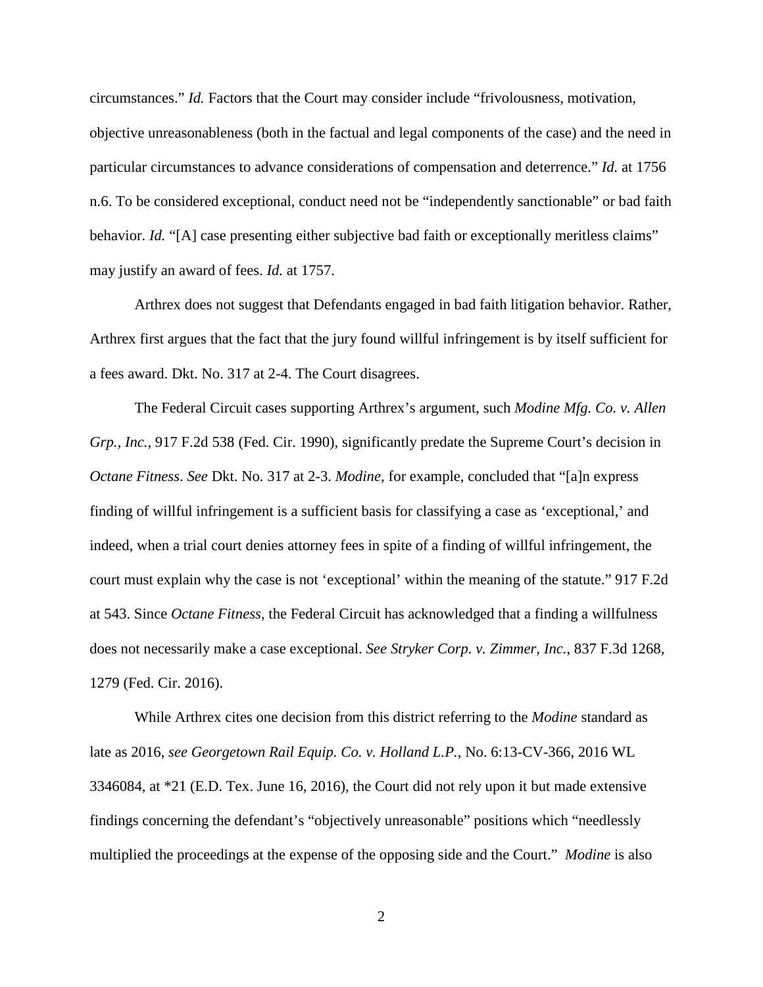circumstances." *Id.* Factors that the Court may consider include "frivolousness, motivation, objective unreasonableness (both in the factual and legal components of the case) and the need in particular circumstances to advance considerations of compensation and deterrence." *Id.* at 1756 n.6. To be considered exceptional, conduct need not be "independently sanctionable" or bad faith behavior. *Id.* "[A] case presenting either subjective bad faith or exceptionally meritless claims" may justify an award of fees. *Id.* at 1757.

Arthrex does not suggest that Defendants engaged in bad faith litigation behavior. Rather, Arthrex first argues that the fact that the jury found willful infringement is by itself sufficient for a fees award. Dkt. No. 317 at 2-4. The Court disagrees.

The Federal Circuit cases supporting Arthrex's argument, such *Modine Mfg. Co. v. Allen Grp., Inc.*, 917 F.2d 538 (Fed. Cir. 1990), significantly predate the Supreme Court's decision in *Octane Fitness*. *See* Dkt. No. 317 at 2-3. *Modine*, for example, concluded that "[a]n express finding of willful infringement is a sufficient basis for classifying a case as 'exceptional,' and indeed, when a trial court denies attorney fees in spite of a finding of willful infringement, the court must explain why the case is not 'exceptional' within the meaning of the statute." 917 F.2d at 543. Since *Octane Fitness*, the Federal Circuit has acknowledged that a finding a willfulness does not necessarily make a case exceptional. *See Stryker Corp. v. Zimmer, Inc.*, 837 F.3d 1268, 1279 (Fed. Cir. 2016).

While Arthrex cites one decision from this district referring to the *Modine* standard as late as 2016, *see Georgetown Rail Equip. Co. v. Holland L.P.*, No. 6:13-CV-366, 2016 WL 3346084, at \*21 (E.D. Tex. June 16, 2016), the Court did not rely upon it but made extensive findings concerning the defendant's "objectively unreasonable" positions which "needlessly multiplied the proceedings at the expense of the opposing side and the Court." *Modine* is also

2